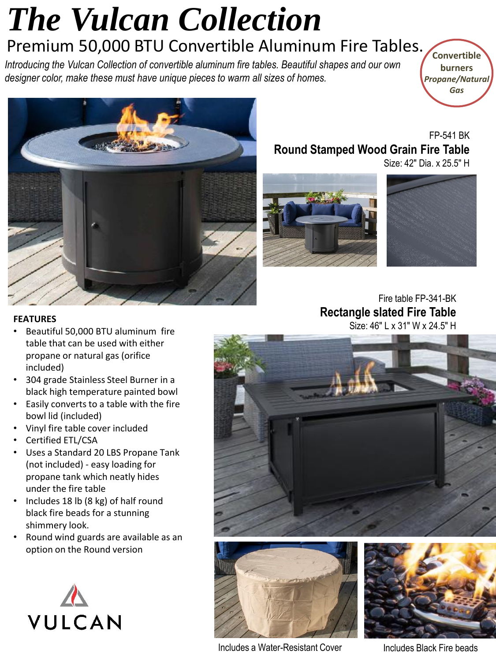### *The Vulcan Collection*  Premium 50,000 BTU Convertible Aluminum Fire Tables.

*Introducing the Vulcan Collection of convertible aluminum fire tables. Beautiful shapes and our own designer color, make these must have unique pieces to warm all sizes of homes.*

**Convertible burners** *Propane/Natural Gas*



FP-541 BK **Round Stamped Wood Grain Fire Table** Size: 42" Dia. x 25.5" H

### Fire table FP-341-BK **Rectangle slated Fire Table**

#### **FEATURES**

- Beautiful 50,000 BTU aluminum fire table that can be used with either propane or natural gas (orifice included)
- 304 grade Stainless Steel Burner in a black high temperature painted bowl
- Easily converts to a table with the fire bowl lid (included)
- Vinyl fire table cover included
- Certified ETL/CSA
- Uses a Standard 20 LBS Propane Tank (not included) - easy loading for propane tank which neatly hides under the fire table
- Includes 18 lb (8 kg) of half round black fire beads for a stunning shimmery look.
- Round wind guards are available as an option on the Round version









Size: 46" L x 31" W x 24.5" H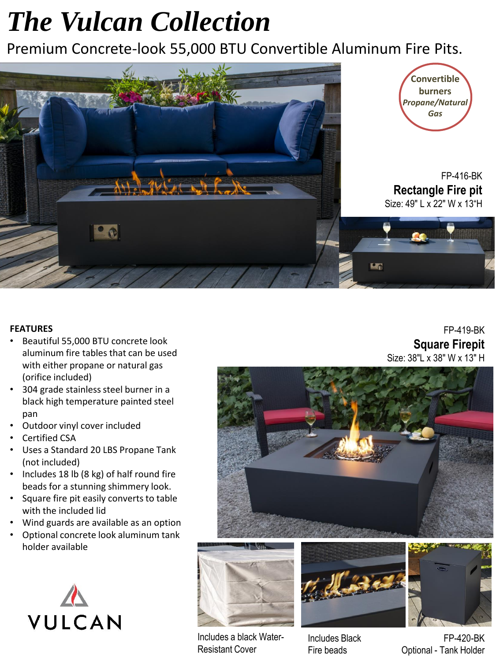## *The Vulcan Collection*

Premium Concrete-look 55,000 BTU Convertible Aluminum Fire Pits.



#### **FEATURES**

- Beautiful 55,000 BTU concrete look aluminum fire tables that can be used with either propane or natural gas (orifice included)
- 304 grade stainless steel burner in a black high temperature painted steel pan
- Outdoor vinyl cover included
- Certified CSA
- Uses a Standard 20 LBS Propane Tank (not included)
- Includes 18 lb (8 kg) of half round fire beads for a stunning shimmery look.
- Square fire pit easily converts to table with the included lid
- Wind guards are available as an option
- Optional concrete look aluminum tank holder available



FP-419-BK **Square Firepit** Size: 38"L x 38" W x 13" H









Includes Black Fire beads

FP-420-BK Optional - Tank Holder